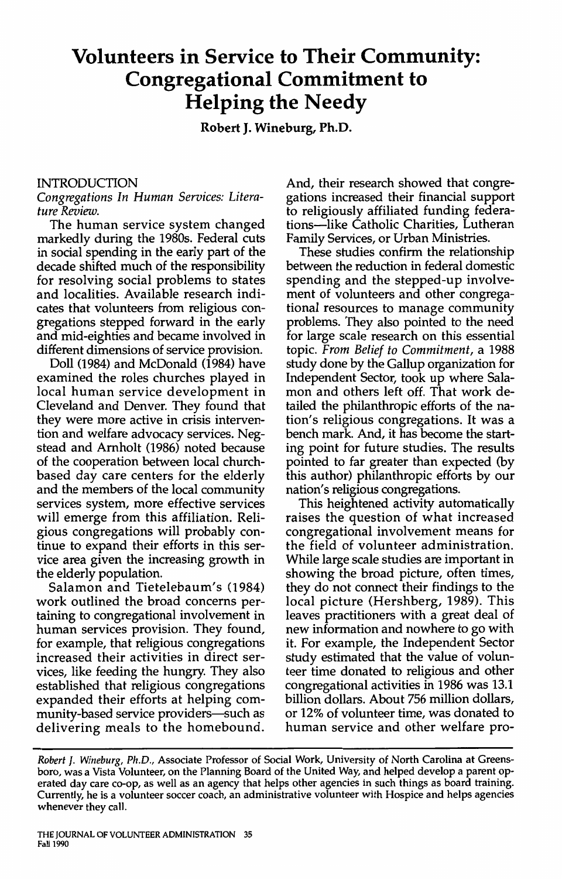# **Volunteers in Service to Their Community: Congregational Commitment to Helping the Needy**

**Robert J. Wineburg, Ph.D.** 

#### INTRODUCTION

#### *Congregations In Human Services: Literature Review.*

The human service system changed markedly during the 1980s. Federal cuts in social spending in the early part of the decade shifted much of the responsibility for resolving social problems to states and localities. Available research indicates that volunteers from religious congregations stepped forward in the early and mid-eighties and became involved in different dimensions of service provision.

Doll (1984) and McDonald (1984) have examined the roles churches played in local human service development in Cleveland and Denver. They found that they were more active in crisis intervention and welfare advocacy services. Negstead and Arnholt (1986) noted because of the cooperation between local churchbased day care centers for the elderly and the members of the local community services system, more effective services will emerge from this affiliation. Religious congregations will probably continue to expand their efforts in this service area given the increasing growth in the elderly population.

Salamon and Tietelebaum's (1984) work outlined the broad concerns pertaining to congregational involvement in human services provision. They found, for example, that religious congregations increased their activities in direct services, like feeding the hungry. They also established that religious congregations expanded their efforts at helping community-based service providers-such as delivering meals to the homebound.

And, their research showed that congregations increased their financial support to religiously affiliated funding federations-like Catholic Charities, Lutheran Family Services, or Urban Ministries.

These studies confirm the relationship between the reduction in federal domestic spending and the stepped-up involvement of volunteers and other congregational resources to manage community problems. They also pointed to the need for large scale research on this essential topic. *From Belief to Commitment,* a 1988 study done by the Gallup organization for Independent Sector, took up where Salamon and others left off. That work detailed the philanthropic efforts of the nation's religious congregations. It was a bench mark. And, it has become the starting point for future studies. The results pointed to far greater than expected (by this author) philanthropic efforts by our nation's religious congregations.

This heightened activity automatically raises the question of what increased congregational involvement means for the field of volunteer administration. While large scale studies are important in showing the broad picture, often times, they do not connect their findings to the local picture (Hershberg, 1989). This leaves practitioners with a great deal of new information and nowhere to go with it. For example, the Independent Sector study estimated that the value of volunteer time donated to religious and other congregational activities in 1986 was 13.1 billion dollars. About 756 million dollars, or 12% of volunteer time, was donated to human service and other welfare pro-

Robert J. Wineburg, Ph.D., Associate Professor of Social Work, University of North Carolina at Greensboro, was a Vista Volunteer, on the Planning Board of the United Way, and helped develop a parent operated day care co-op, as well as an agency that helps other agencies in such things as board training. Currently, he is a volunteer soccer coach, an administrative volunteer with Hospice and helps agencies whenever they call.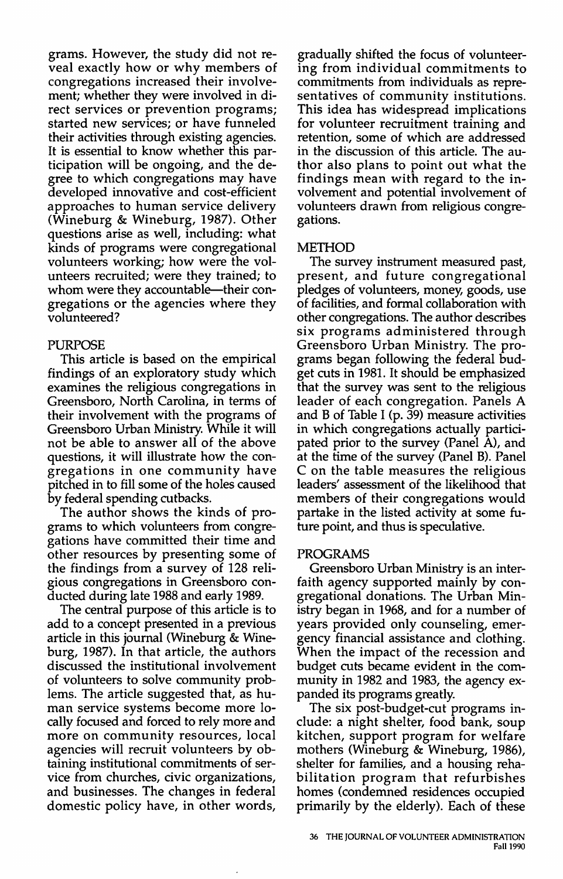grams. However, the study did not reveal exactly how or why members of congregations increased their involvement; whether they were involved in direct services or prevention programs; started new services; or have funneled their activities through existing agencies. It is essential to know whether this participation will be ongoing, and the degree to which congregations may have developed innovative and cost-efficient approaches to human service delivery (Wineburg & Wineburg, 1987). Other questions arise as well, including: what kinds of programs were congregational volunteers working; how were the volunteers recruited; were they trained; to whom were they accountable—their congregations or the agencies where they volunteered?

#### PURPOSE

This article is based on the empirical findings of an exploratory study which examines the religious congregations in Greensboro, North Carolina, in terms of their involvement with the programs of Greensboro Urban Ministry. While it will not be able to answer all of the above questions, it will illustrate how the congregations in one community have pitched in to fill some of the holes caused by federal spending cutbacks.

The author shows the kinds of programs to which volunteers from congregations have committed their time and other resources by presenting some of the findings from a survey of 128 religious congregations in Greensboro conducted during late 1988 and early 1989.

The central purpose of this article is to add to a concept presented in a previous article in this journal (Wineburg & Wineburg, 1987). In that article, the authors discussed the institutional involvement of volunteers to solve community problems. The article suggested that, as human service systems become more locally focused and forced to rely more and more on community resources, local agencies will recruit volunteers by obtaining institutional commitments of service from churches, civic organizations, and businesses. The changes in federal domestic policy have, in other words,

gradually shifted the focus of volunteering from individual commitments to commitments from individuals as representatives of community institutions. This idea has widespread implications for volunteer recruitment training and retention, some of which are addressed in the discussion of this article. The author also plans to point out what the findings mean with regard to the involvement and potential involvement of volunteers drawn from religious congregations.

#### METHOD

The survey instrument measured past, present, and future congregational pledges of volunteers, money, goods, use of facilities, and formal collaboration with other congregations. The author describes six programs administered through Greensboro Urban Ministry. The programs began following the federal budget cuts in 1981. It should be emphasized that the survey was sent to the religious leader of each congregation. Panels A and B of Table I (p. 39) measure activities in which congregations actually participated prior to the survey (Panel A), and at the time of the survey (Panel B). Panel C on the table measures the religious leaders' assessment of the likelihood that members of their congregations would partake in the listed activity at some future point, and thus is speculative.

#### PROGRAMS

Greensboro Urban Ministry is an interfaith agency supported mainly by congregational donations. The Urban Ministry began in 1968, and for a number of years provided only counseling, emergency financial assistance and clothing. When the impact of the recession and budget cuts became evident in the community in 1982 and 1983, the agency expanded its programs greatly.

The six post-budget-cut programs include: a night shelter, food bank, soup kitchen, support program for welfare mothers (Wineburg & Wineburg, 1986), shelter for families, and a housing rehabilitation program that refurbishes homes (condemned residences occupied primarily by the elderly). Each of these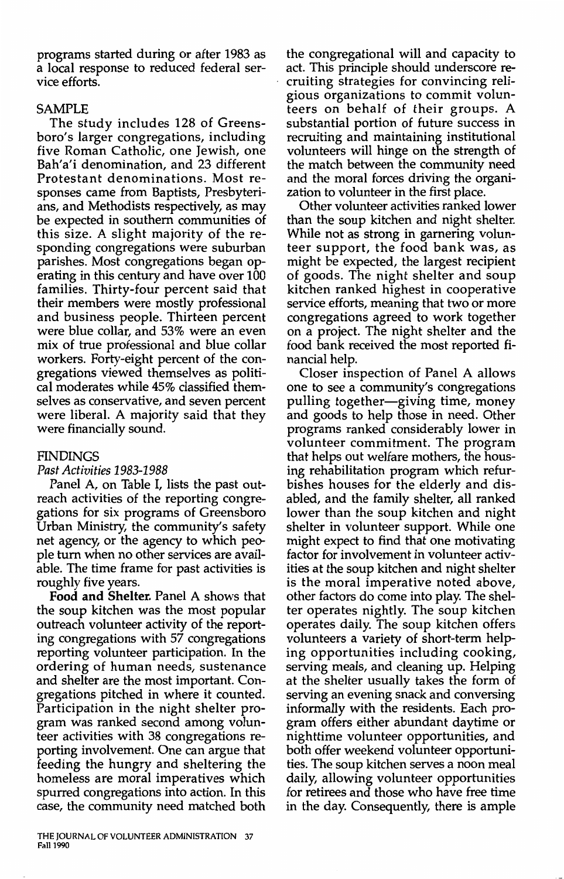programs started during or after 1983 as a local response to reduced federal service efforts.

#### SAMPLE

The study includes 128 of Greensboro's larger congregations, including five Roman Catholic, one Jewish, one Bah'a'i denomination, and 23 different Protestant denominations. Most responses came from Baptists, Presbyterians, and Methodists respectively, as may be expected in southern communities of this size. A slight majority of the responding congregations were suburban parishes. Most congregations began operating in this century and have over 100 families. Thirty-four percent said that their members were mostly professional and business people. Thirteen percent were blue collar, and 53% were an even mix of true professional and blue collar workers. Forty-eight percent of the congregations viewed themselves as political moderates while 45% classified themselves as conservative, and seven percent were liberal. A majority said that they were financially sound.

#### **FINDINGS**

#### *Past Activities 1983-1988*

Panel A, on Table I, lists the past outreach activities of the reporting congregations for six programs of Greensboro Urban Ministry, the community's safety net agency, or the agency to which people tum when no other services are available. The time frame for past activities is roughly five years.

**Food and Shelter.** Panel A shows that the soup kitchen was the most popular outreach volunteer activity of the reporting congregations with 57 congregations reporting volunteer participation. In the ordering of human needs, sustenance and shelter are the most important. Congregations pitched in where it counted. Participation in the night shelter program was ranked second among volunteer activities with 38 congregations reporting involvement. One can argue that feeding the hungry and sheltering the homeless are moral imperatives which spurred congregations into action. In this case, the community need matched both the congregational will and capacity to act. This principle should underscore recruiting strategies for convincing religious organizations to commit volunteers on behalf of their groups. A substantial portion of future success in recruiting and maintaining institutional volunteers will hinge on the strength of the match between the community need and the moral forces driving the organization to volunteer in the first place.

Other volunteer activities ranked lower than the soup kitchen and night shelter. While not as strong in garnering volunteer support, the food bank was, as might be expected, the largest recipient of goods. The night shelter and soup kitchen ranked highest in cooperative service efforts, meaning that two or more congregations agreed to work together on a project. The night shelter and the food bank received the most reported financial help.

Closer inspection of Panel A allows one to see a community's congregations pulling together—giving time, money and goods to help those in need. Other programs ranked considerably lower in volunteer commitment. The program that helps out welfare mothers, the housing rehabilitation program which refurbishes houses for the elderly and disabled, and the family shelter, all ranked lower than the soup kitchen and night shelter in volunteer support. While one might expect to find that one motivating factor for involvement in volunteer activities at the soup kitchen and night shelter is the moral imperative noted above, other factors do come into play. The shelter operates nightly. The soup kitchen operates daily. The soup kitchen offers volunteers a variety of short-term helping opportunities including cooking, serving meals, and cleaning up. Helping at the shelter usually takes the form of serving an evening snack and conversing informally with the residents. Each program offers either abundant daytime or nighttime volunteer opportunities, and both offer weekend volunteer opportunities. The soup kitchen serves a noon meal daily, allowing volunteer opportunities for retirees and those who have free time in the day. Consequently, there is ample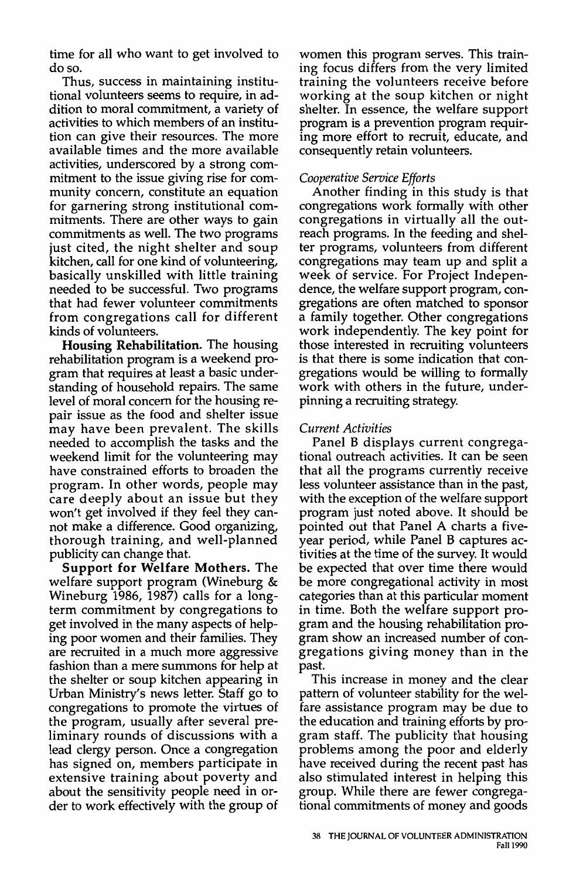time for all who want to get involved to doso.

Thus, success in maintaining institutional volunteers seems to require, in addition to moral commitment, a variety of activities to which members of an institution can give their resources. The more available times and the more available activities, underscored by a strong commitment to the issue giving rise for community concern, constitute an equation for garnering strong institutional commitments. There are other ways to gain commitments as well. The two programs just cited, the night shelter and soup kitchen, call for one kind of volunteering, basically unskilled with little training needed to be successful. Two programs that had fewer volunteer commitments from congregations call for different kinds of volunteers.

**Housing Rehabilitation.** The housing rehabilitation program is a weekend program that requires at least a basic understanding of household repairs. The same level of moral concern for the housing repair issue as the food and shelter issue may have been prevalent. The skills needed to accomplish the tasks and the weekend limit for the volunteering may have constrained efforts to broaden the program. In other words, people may care deeply about an issue but they won't get involved if they feel they cannot make a difference. Good organizing, thorough training, and well-planned publicity can change that.

**Support for Welfare Mothers.** The welfare support program (Wineburg & Wineburg 1986, 1987) calls for a longterm commitment by congregations to get involved in the many aspects of helping poor women and their families. They are recruited in a much more aggressive fashion than a mere summons for help at the shelter or soup kitchen appearing in Urban Ministry's news letter. Staff go to congregations to promote the virtues of the program, usually after several preliminary rounds of discussions with a lead clergy person. Once a congregation has signed on, members participate in extensive training about poverty and about the sensitivity people need in order to work effectively with the group of women this program serves. This training focus differs from the very limited training the volunteers receive before working at the soup kitchen or night shelter. In essence, the welfare support program is a prevention program requiring more effort to recruit, educate, and consequently retain volunteers.

# *Cooperative Service Efforts*

Another finding in this study is that congregations work formally with other congregations in virtually all the outreach programs. In the feeding and shelter programs, volunteers from different congregations may team up and split a week of service. For Project Independence, the welfare support program, congregations are often matched to sponsor a family together. Other congregations work independently. The key point for those interested in recruiting volunteers is that there is some indication that congregations would be willing to formally work with others in the future, underpinning a recruiting strategy.

# *Current Activities*

Panel B displays current congregational outreach activities. It can be seen that all the programs currently receive less volunteer assistance than in the past, with the exception of the welfare support program just noted above. It should be pointed out that Panel A charts a fiveyear period, while Panel B captures activities at the time of the survey. It would be expected that over time there would be more congregational activity in most categories than at this particular moment in time. Both the welfare support program and the housing rehabilitation program show an increased number of congregations giving money than in the past.

This increase in money and the clear pattern of volunteer stability for the welfare assistance program may be due to the education and training efforts by program staff. The publicity that housing problems among the poor and elderly have received during the recent past has also stimulated interest in helping this group. While there are fewer congregational commitments of money and goods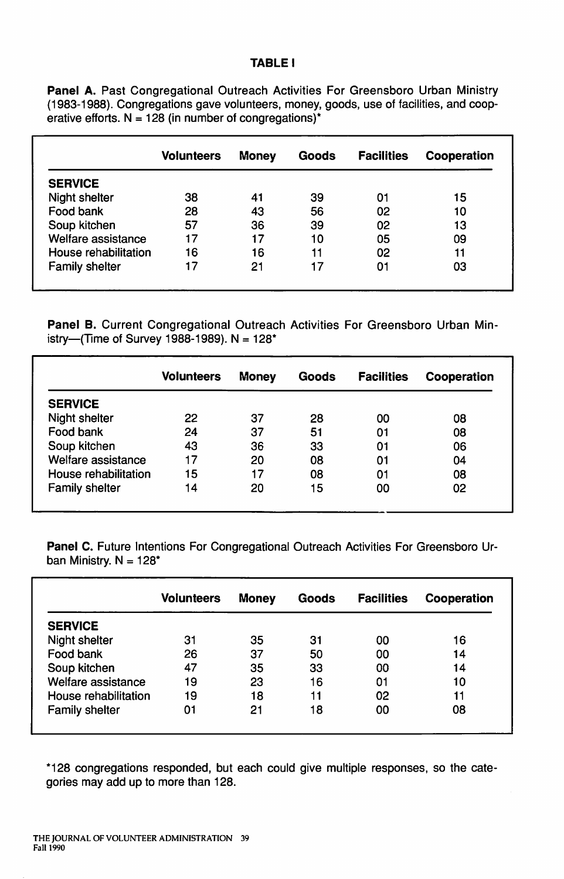#### **TABLE I**

Panel A. Past Congregational Outreach Activities For Greensboro Urban Ministry (1983-1988). Congregations gave volunteers, money, goods, use of facilities, and cooperative efforts.  $N = 128$  (in number of congregations)<sup>\*</sup>

|                       | <b>Volunteers</b> | <b>Money</b> | Goods | <b>Facilities</b> | Cooperation |
|-----------------------|-------------------|--------------|-------|-------------------|-------------|
| <b>SERVICE</b>        |                   |              |       |                   |             |
| Night shelter         | 38                | 41           | 39    | 01                | 15          |
| Food bank             | 28                | 43           | 56    | 02                | 10          |
| Soup kitchen          | 57                | 36           | 39    | 02                | 13          |
| Welfare assistance    | 17                | 17           | 10    | 05                | 09          |
| House rehabilitation  | 16                | 16           | 11    | 02                | 11          |
| <b>Family shelter</b> | 17                | 21           | 17    | 01                | 03          |

**Panel B.** Current Congregational Outreach Activities For Greensboro Urban Ministry-(Time of Survey 1988-1989).  $N = 128$ <sup>\*</sup>

|                       | <b>Volunteers</b> | <b>Money</b> | Goods | <b>Facilities</b> | Cooperation |
|-----------------------|-------------------|--------------|-------|-------------------|-------------|
| <b>SERVICE</b>        |                   |              |       |                   |             |
| Night shelter         | 22                | 37           | 28    | 00                | 08          |
| Food bank             | 24                | 37           | 51    | 01                | 08          |
| Soup kitchen          | 43                | 36           | 33    | 01                | 06          |
| Welfare assistance    | 17                | 20           | 08    | 01                | 04          |
| House rehabilitation  | 15                | 17           | 08    | 01                | 08          |
| <b>Family shelter</b> | 14                | 20           | 15    | 00                | 02          |

**Panel C.** Future Intentions For Congregational Outreach Activities For Greensboro Urban Ministry.  $N = 128$ \*

|                       | Volunteers | <b>Money</b> | Goods | <b>Facilities</b> | Cooperation |
|-----------------------|------------|--------------|-------|-------------------|-------------|
| <b>SERVICE</b>        |            |              |       |                   |             |
| Night shelter         | 31         | 35           | 31    | 00                | 16          |
| Food bank             | 26         | 37           | 50    | 00                | 14          |
| Soup kitchen          | 47         | 35           | 33    | 00                | 14          |
| Welfare assistance    | 19         | 23           | 16    | 01                | 10          |
| House rehabilitation  | 19         | 18           | 11    | 02                | 11          |
| <b>Family shelter</b> | 01         | 21           | 18    | 00                | 08          |

\*128 congregations responded, but each could give multiple responses, so the categories may add up to more than 128.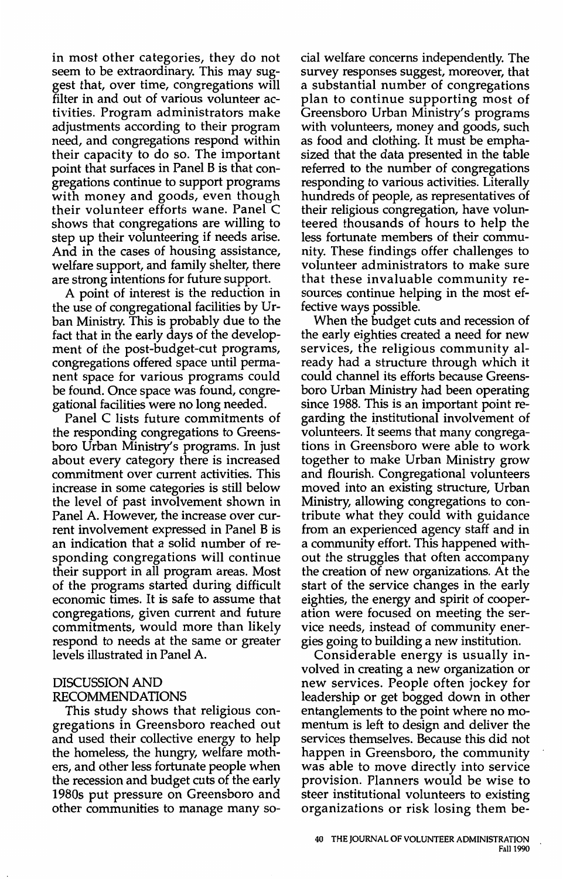in most other categories, they do not seem to be extraordinary. This may suggest that, over time, congregations will filter in and out of various volunteer activities. Program administrators make adjustments according to their program need, and congregations respond within their capacity to do so. The important point that surfaces in Panel Bis that congregations continue to support programs with money and goods, even though their volunteer efforts wane. Panel C shows that congregations are willing to step up their volunteering if needs arise. And in the cases of housing assistance, welfare support, and family shelter, there are strong intentions for future support.

A point of interest is the reduction in the use of congregational facilities by Urban Ministry. This is probably due to the fact that in the early days of the development of the post-budget-cut programs, congregations offered space until permanent space for various programs could be found. Once space was found, congregational facilities were no long needed.

Panel C lists future commitments of the responding congregations to Greensboro Urban Ministry's programs. In just about every category there is increased commitment over current activities. This increase in some categories is still below the level of past involvement shown in Panel A. However, the increase over current involvement expressed in Panel B is an indication that a solid number of responding congregations will continue their support in all program areas. Most of the programs started during difficult economic times. It is safe to assume that congregations, given current and future commitments, would more than likely respond to needs at the same or greater levels illustrated in Panel A.

#### DISCUSSION AND RECOMMENDATIONS

This study shows that religious congregations in Greensboro reached out and used their collective energy to help the homeless, the hungry, welfare mothers, and other less fortunate people when the recession and budget cuts of the early 1980s put pressure on Greensboro and other communities to manage many so-

cial welfare concerns independently. The survey responses suggest, moreover, that a substantial number of congregations plan to continue supporting most of Greensboro Urban Ministry's programs with volunteers, money and goods, such as food and clothing. It must be emphasized that the data presented in the table referred to the number of congregations responding to various activities. Literally hundreds of people, as representatives of their religious congregation, have volunteered thousands of hours to help the less fortunate members of their community. These findings offer challenges to volunteer administrators to make sure that these invaluable community resources continue helping in the most effective ways possible.

When the budget cuts and recession of the early eighties created a need for new services, the religious community already had a structure through which it could channel its efforts because Greensboro Urban Ministry had been operating since 1988. This is an important point regarding the institutional involvement of volunteers. It seems that many congregations in Greensboro were able to work together to make Urban Ministry grow and flourish. Congregational volunteers moved into an existing structure, Urban Ministry, allowing congregations to contribute what they could with guidance from an experienced agency staff and in a community effort. This happened without the struggles that often accompany the creation of new organizations. At the start of the service changes in the early eighties, the energy and spirit of cooperation were focused on meeting the service needs, instead of community energies going to building a new institution.

Considerable energy is usually involved in creating a new organization or new services. People often jockey for leadership or get bogged down in other entanglements to the point where no momentum is left to design and deliver the services themselves. Because this did not happen in Greensboro, the community was able to move directly into service provision. Planners would be wise to steer institutional volunteers to existing organizations or risk losing them be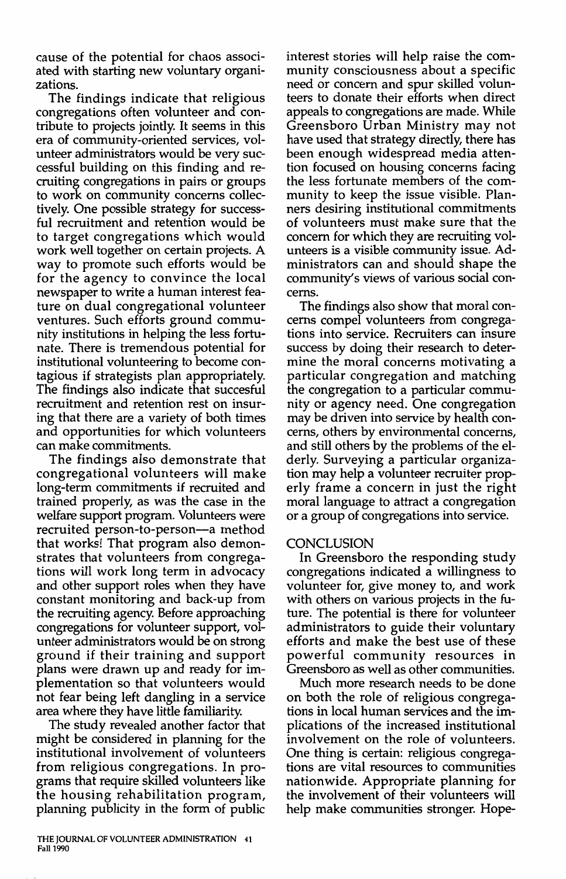cause of the potential for chaos associated with starting new voluntary organizations.

The findings indicate that religious congregations often volunteer and contribute to projects jointly. It seems in this era of community-oriented services, volunteer administrators would be very successful building on this finding and recruiting congregations in pairs or groups to work on community concerns collectively. One possible strategy for successful recruitment and retention would be to target congregations which would work well together on certain projects. A way to promote such efforts would be for the agency to convince the local newspaper to write a human interest feature on dual congregational volunteer ventures. Such efforts ground community institutions in helping the less fortunate. There is tremendous potential for institutional volunteering to become contagious if strategists plan appropriately. The findings also indicate that succesful recruitment and retention rest on insuring that there are a variety of both times and opportunities for which volunteers can make commitments.

The findings also demonstrate that congregational volunteers will make long-term commitments if recruited and trained properly, as was the case in the welfare support program. Volunteers were recruited person-to-person-a method that works! That program also demonstrates that volunteers from congregations will work long term in advocacy and other support roles when they have constant monitoring and back-up from the recruiting agency. Before approaching congregations for volunteer support, volunteer administrators would be on strong ground if their training and support plans were drawn up and ready for implementation so that volunteers would not fear being left dangling in a service area where they have little familiarity.

The study revealed another factor that might be considered in planning for the institutional involvement of volunteers from religious congregations. In programs that require skilled volunteers like the housing rehabilitation program, planning publicity in the form of public

**THE JOURNAL OF VOLUNTEER ADMINISTRATION 41 Fall 1990** 

interest stories will help raise the community consciousness about a specific need or concern and spur skilled volunteers to donate their efforts when direct appeals to congregations are made. While Greensboro Urban Ministry may not have used that strategy directly, there has been enough widespread media attention focused on housing concerns facing the less fortunate members of the community to keep the issue visible. Planners desiring institutional commitments of volunteers must make sure that the concern for which they are recruiting volunteers is a visible community issue. Administrators can and should shape the community's views of various social concerns.

The findings also show that moral concerns compel volunteers from congregations into service. Recruiters can insure success by doing their research to determine the moral concerns motivating a particular congregation and matching the congregation to a particular community or agency need. One congregation may be driven into service by health concerns, others by environmental concerns, and still others by the problems of the elderly. Surveying a particular organization may help a volunteer recruiter properly frame a concern in just the right moral language to attract a congregation or a group of congregations into service.

#### **CONCLUSION**

In Greensboro the responding study congregations indicated a willingness to volunteer for, give money to, and work with others on various projects in the future. The potential is there for volunteer administrators to guide their voluntary efforts and make the best use of these powerful community resources in Greensboro as well as other communities.

Much more research needs to be done on both the role of religious congregations in local human services and the implications of the increased institutional involvement on the role of volunteers. One thing is certain: religious congregations are vital resources to communities nationwide. Appropriate planning for the involvement of their volunteers will help make communities stronger. Hope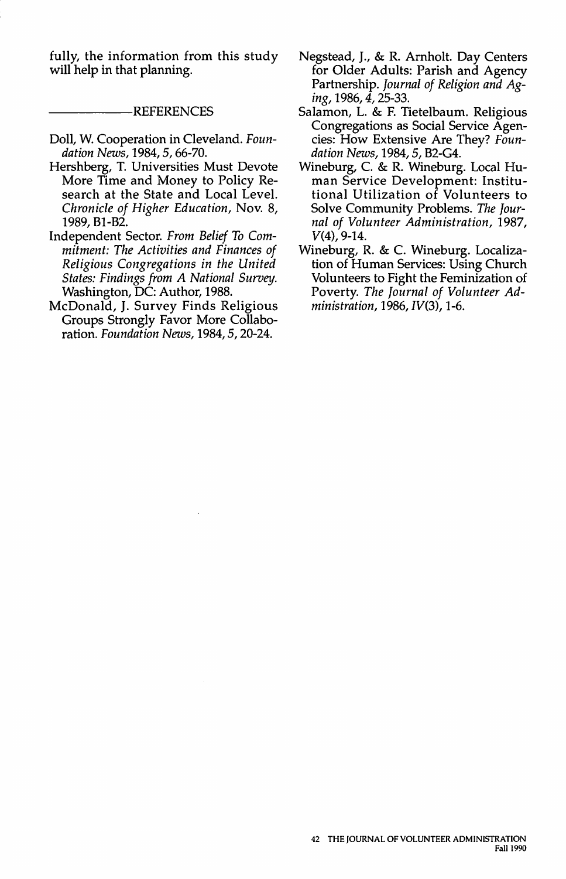fully, the information from this study will help in that planning.

#### -REFERENCES

- Doll, W. Cooperation in Cleveland. *Foundation News,* 1984, *5,* 66-70.
- Hershberg, T. Universities Must Devote More Time and Money to Policy Research at the State and Local Level. *Chronicle of Higher Education,* Nov. 8, 1989, B1-B2.
- Independent Sector. *From Belief To Commitment: The Activities and Finances of Religious Congregations in the United States: Findings from A National Survey.*  Washington, DC: Author, 1988.
- McDonald, J. Survey Finds Religious Groups Strongly Favor More Collaboration. *Foundation News,* 1984, *5,* 20-24.
- Negstead, J., & R. Arnholt. Day Centers for Older Adults: Parish and Agency Partnership. *Journal of Religion and Aging,* 1986, *4,* 25-33.
- Salamon, L. & F. Tietelbaum. Religious Congregations as Social Service Agencies: How Extensive Are They? *Foundation News,* 1984, *5,* B2-G4.
- Wineburg, C. & R. Wineburg. Local Human Service Development: Institutional Utilization of Volunteers to Solve Community Problems. *The Journal of Volunteer Administration,* 1987, V(4), 9-14.
- Wineburg, R. & C. Wineburg. Localization of Human Services: Using Church Volunteers to Fight the Feminization of Poverty. *The Journal of Volunteer Administration,* 1986, *IV(3),* 1-6.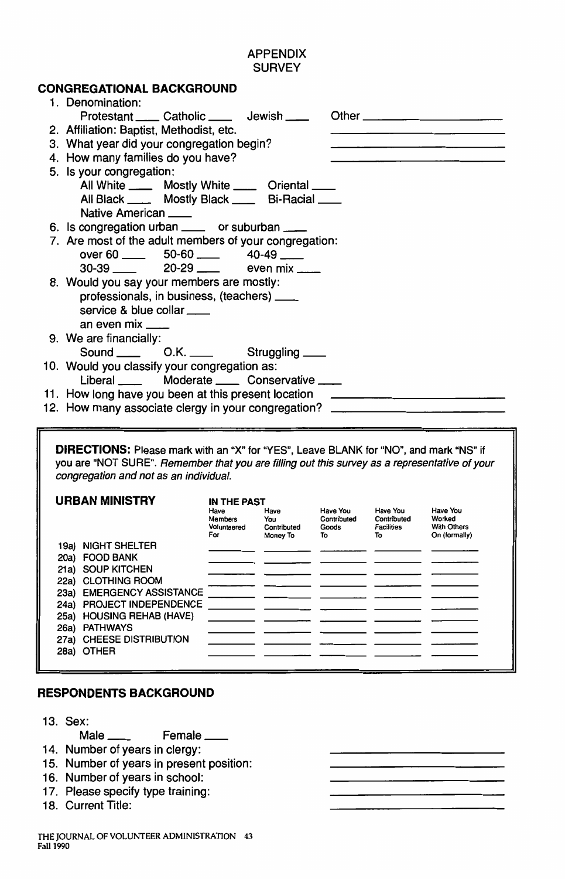# APPENDIX **SURVEY**

# **CONGREGATIONAL BACKGROUND**

| 1. Denomination:                                                                                                                                                                       |                        |                                    |                         |                         |                    |  |  |  |
|----------------------------------------------------------------------------------------------------------------------------------------------------------------------------------------|------------------------|------------------------------------|-------------------------|-------------------------|--------------------|--|--|--|
| Protestant ____ Catholic ____ Jewish ___                                                                                                                                               |                        | Other $\_\_\_\_\_\_\$              |                         |                         |                    |  |  |  |
| 2. Affiliation: Baptist, Methodist, etc.                                                                                                                                               |                        |                                    |                         |                         |                    |  |  |  |
| 3. What year did your congregation begin?                                                                                                                                              |                        |                                    |                         |                         |                    |  |  |  |
| 4. How many families do you have?                                                                                                                                                      |                        |                                    |                         |                         |                    |  |  |  |
| 5. Is your congregation:                                                                                                                                                               |                        |                                    |                         |                         |                    |  |  |  |
| All White ______ Mostly White _____ Oriental ____                                                                                                                                      |                        |                                    |                         |                         |                    |  |  |  |
| All Black ______ Mostly Black _____ Bi-Racial ____                                                                                                                                     |                        |                                    |                         |                         |                    |  |  |  |
| Native American                                                                                                                                                                        |                        |                                    |                         |                         |                    |  |  |  |
| 6. Is congregation urban ____ or suburban ___                                                                                                                                          |                        |                                    |                         |                         |                    |  |  |  |
| 7. Are most of the adult members of your congregation:                                                                                                                                 |                        |                                    |                         |                         |                    |  |  |  |
| over 60 $\_\_\_\_\$                                                                                                                                                                    |                        |                                    |                         |                         |                    |  |  |  |
|                                                                                                                                                                                        |                        | even $mix$ <sub>----</sub>         |                         |                         |                    |  |  |  |
| 8. Would you say your members are mostly:                                                                                                                                              |                        |                                    |                         |                         |                    |  |  |  |
| professionals, in business, (teachers) ____                                                                                                                                            |                        |                                    |                         |                         |                    |  |  |  |
| service & blue collar ____                                                                                                                                                             |                        |                                    |                         |                         |                    |  |  |  |
| an even mix ____                                                                                                                                                                       |                        |                                    |                         |                         |                    |  |  |  |
| 9. We are financially:                                                                                                                                                                 |                        |                                    |                         |                         |                    |  |  |  |
| O.K. _____<br>Sound <u>__</u>                                                                                                                                                          |                        | Struggling ___                     |                         |                         |                    |  |  |  |
| 10. Would you classify your congregation as:                                                                                                                                           |                        |                                    |                         |                         |                    |  |  |  |
| Liberal ____                                                                                                                                                                           |                        | Moderate ______ Conservative _____ |                         |                         |                    |  |  |  |
| 11. How long have you been at this present location                                                                                                                                    |                        |                                    |                         |                         |                    |  |  |  |
| 12. How many associate clergy in your congregation?                                                                                                                                    |                        |                                    |                         |                         |                    |  |  |  |
|                                                                                                                                                                                        |                        |                                    |                         |                         |                    |  |  |  |
|                                                                                                                                                                                        |                        |                                    |                         |                         |                    |  |  |  |
| DIRECTIONS: Please mark with an "X" for "YES", Leave BLANK for "NO", and mark "NS" if<br>you are "NOT SURE". Remember that you are filling out this survey as a representative of your |                        |                                    |                         |                         |                    |  |  |  |
| congregation and not as an individual.                                                                                                                                                 |                        |                                    |                         |                         |                    |  |  |  |
|                                                                                                                                                                                        |                        |                                    |                         |                         |                    |  |  |  |
| <b>URBAN MINISTRY</b>                                                                                                                                                                  | IN THE PAST            |                                    |                         |                         |                    |  |  |  |
|                                                                                                                                                                                        | Have<br><b>Members</b> | Have<br>You                        | Have You<br>Contributed | Have You<br>Contributed | Have You<br>Worked |  |  |  |
|                                                                                                                                                                                        | Volunteered            | Contributed                        | Goods                   | <b>Facilities</b>       | With Others        |  |  |  |
| 19a) NIGHT SHELTER                                                                                                                                                                     | For                    | Money To                           | To                      | To                      | On (formally)      |  |  |  |
| 20a) FOOD BANK                                                                                                                                                                         |                        |                                    |                         |                         |                    |  |  |  |
| 21a) SOUP KITCHEN                                                                                                                                                                      |                        |                                    |                         |                         |                    |  |  |  |
| 22a) CLOTHING ROOM                                                                                                                                                                     |                        |                                    |                         |                         |                    |  |  |  |
| 23a) EMERGENCY ASSISTANCE                                                                                                                                                              |                        |                                    |                         |                         |                    |  |  |  |
| 24a) PROJECT INDEPENDENCE<br>25a) HOUSING REHAB (HAVE)                                                                                                                                 |                        |                                    |                         |                         |                    |  |  |  |
| 26a) PATHWAYS                                                                                                                                                                          |                        |                                    |                         |                         |                    |  |  |  |
| 27a) CHEESE DISTRIBUTION                                                                                                                                                               |                        |                                    |                         |                         |                    |  |  |  |
| 28a) OTHER                                                                                                                                                                             |                        |                                    |                         |                         |                    |  |  |  |

# **RESPONDENTS BACKGROUND**

13. Sex:

Male \_\_\_\_ Female \_\_\_

- 14. Number of years in clergy:
- 15. Number of years in present position:
- 16. Number of years in school:
- 17. Please specify type training:
- 18. Current Title: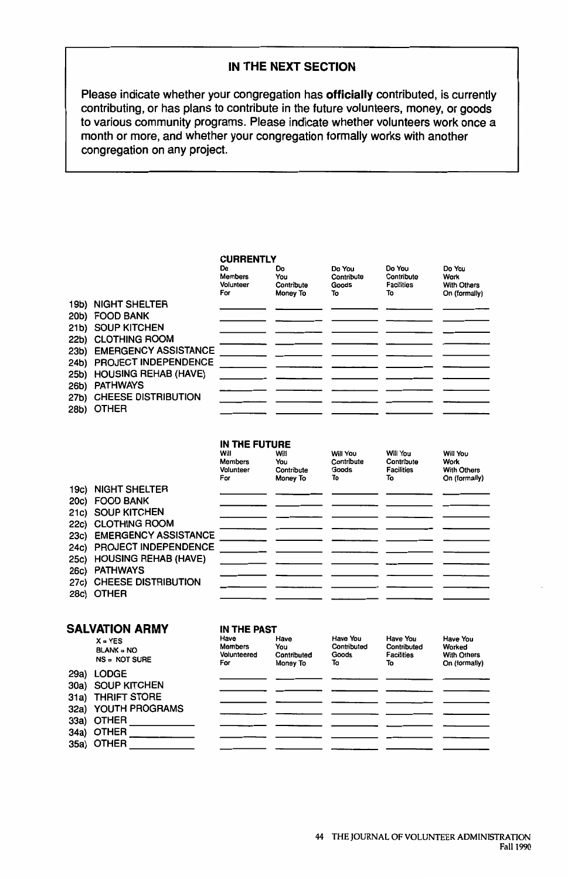#### **IN THE NEXT SECTION**

Please indicate whether your congregation has **officially** contributed, is currently contributing, or has plans to contribute in the future volunteers, money, or goods to various community programs. Please indicate whether volunteers work once a month or more, and whether your congregation formally works with another congregation on any project.

#### **CURRENTLY**  Do Do Members You Volunteer Contribute For Money To 19b) NIGHT SHELTER 20b) FOOD BANK 21b) SOUP KITCHEN 22b) CLOTHING ROOM 23b) EMERGENCY ASSISTANCE 24b) PROJECT INDEPENDENCE 25b) HOUSING REHAB (HAVE) 26b) PATHWAYS 27b) CHEESE DISTRIBUTION 28b) OTHER Do You Do You Do You Contribute Contribute<br>Goods Facilities Facilities With Others<br>To On (formally On (formally)

#### **IN THE FUTURE**

|      |                             | Will<br><b>Members</b> | Will<br>You | Will You<br>Contribute | Will You<br>Contribute | Will You<br>Work   |
|------|-----------------------------|------------------------|-------------|------------------------|------------------------|--------------------|
|      |                             | Volunteer              | Contribute  | Goods                  | <b>Facilities</b>      | <b>With Others</b> |
|      |                             | For                    | Money To    | To                     | To                     | On (formally)      |
|      | 19c) NIGHT SHELTER          |                        |             |                        |                        |                    |
|      | 20c) FOOD BANK              |                        |             |                        |                        |                    |
|      | 21c) SOUP KITCHEN           |                        |             |                        |                        |                    |
|      | 22c) CLOTHING ROOM          |                        |             |                        |                        |                    |
| 23c) | <b>EMERGENCY ASSISTANCE</b> |                        |             |                        |                        |                    |
| 24c) | <b>PROJECT INDEPENDENCE</b> |                        |             |                        |                        |                    |
|      | 25c) HOUSING REHAB (HAVE)   |                        |             |                        |                        |                    |
| 26c) | <b>PATHWAYS</b>             |                        |             |                        |                        |                    |
| 27c) | <b>CHEESE DISTRIBUTION</b>  |                        |             |                        |                        |                    |
|      | 28c) OTHER                  |                        |             |                        |                        |                    |

| SALVATION ARMY |                                                 | IN THE PAST                           |                                        |                                               |                                                    |                                                                  |  |  |
|----------------|-------------------------------------------------|---------------------------------------|----------------------------------------|-----------------------------------------------|----------------------------------------------------|------------------------------------------------------------------|--|--|
|                | $X = YES$<br>$BLANK = NO$<br>NS = NOT SURE      | Have<br>Members<br>Volunteered<br>For | Have<br>You<br>Contributed<br>Money To | <b>Have You</b><br>Contributed<br>Goods<br>To | Have You<br>Contributed<br><b>Facilities</b><br>То | <b>Have You</b><br>Worked<br><b>With Others</b><br>On (formally) |  |  |
| 29a)           | LODGE<br>30a) SOUP KITCHEN<br>31a) THRIFT STORE |                                       |                                        |                                               |                                                    |                                                                  |  |  |
|                | 32a) YOUTH PROGRAMS                             |                                       |                                        |                                               |                                                    |                                                                  |  |  |
|                | 33a) OTHER                                      |                                       |                                        |                                               |                                                    |                                                                  |  |  |
|                | 34a) OTHER<br>35a) OTHER                        |                                       |                                        |                                               |                                                    |                                                                  |  |  |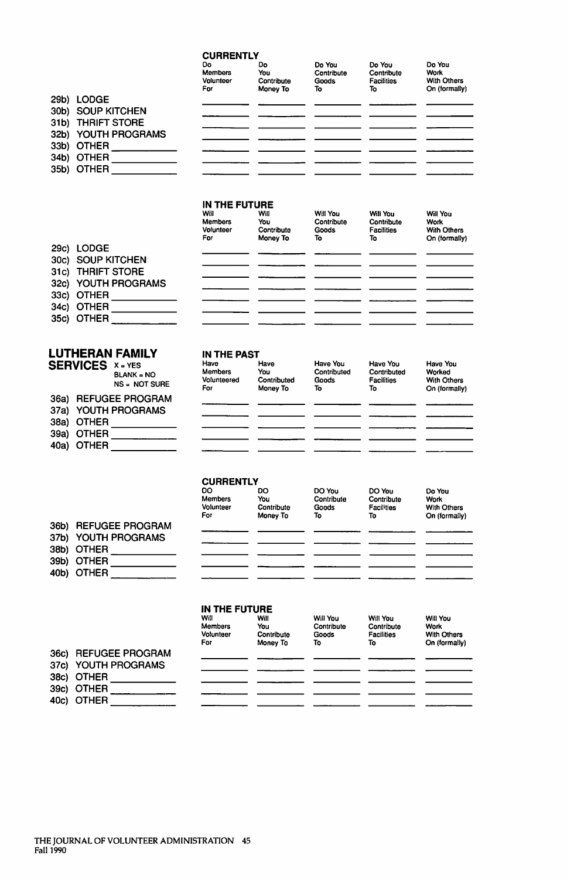#### **CURRENTLY**

|                     | Do<br><b>Members</b><br>Volunteer<br>For | Do<br>You<br>Contribute<br>Money To | Do You<br>Contribute<br>Goods<br>То | Do You<br>Contribute<br><b>Facilities</b><br>То | Do You<br><b>Work</b><br>With Others<br>On (formally) |
|---------------------|------------------------------------------|-------------------------------------|-------------------------------------|-------------------------------------------------|-------------------------------------------------------|
| 29b) LODGE          |                                          |                                     |                                     |                                                 |                                                       |
| 30b) SOUP KITCHEN   |                                          |                                     |                                     |                                                 |                                                       |
| 31b) THRIFT STORE   |                                          |                                     |                                     |                                                 |                                                       |
| 32b) YOUTH PROGRAMS |                                          |                                     |                                     |                                                 |                                                       |
| 33b) OTHER          |                                          |                                     |                                     |                                                 |                                                       |
| 34b) OTHER          |                                          |                                     |                                     |                                                 |                                                       |
| 35b) OTHER          |                                          |                                     |                                     |                                                 |                                                       |
|                     |                                          |                                     |                                     |                                                 |                                                       |

#### **IN THE FUTURE**

|                     | Will<br><b>Members</b><br>Volunteer<br>For | Will<br>You<br>Contribute<br>Money To | Will You<br>Contribute<br>Goods<br>То | Will You<br>Contribute<br><b>Facilities</b><br>То | Will You<br>Work<br><b>With Others</b><br>On (formally) |
|---------------------|--------------------------------------------|---------------------------------------|---------------------------------------|---------------------------------------------------|---------------------------------------------------------|
| 29c) LODGE          |                                            |                                       |                                       |                                                   |                                                         |
| 30c) SOUP KITCHEN   |                                            |                                       |                                       |                                                   |                                                         |
| 31c) THRIFT STORE   |                                            |                                       |                                       |                                                   |                                                         |
| 32c) YOUTH PROGRAMS |                                            |                                       |                                       |                                                   |                                                         |
| 33c) OTHER          |                                            |                                       |                                       |                                                   |                                                         |
| 34c) OTHER          |                                            |                                       |                                       |                                                   |                                                         |
| 35c) OTHER          |                                            |                                       |                                       |                                                   |                                                         |

#### **LUTHERAN FAMILY IN THE PAST** SERVICES

| <b>SERVICES</b> | $X = YES$<br>$BLANK = NO$<br>$NS = NOT SURE$ | Have<br>Members<br>Volunteered<br>For | Have<br>You<br>Contributed<br>Money To | Have You<br>Contributed<br>Goods<br>То | Have You<br>Contributed<br><b>Facilities</b><br>То | Have You<br>Worked<br><b>With Others</b><br>On (formally) |
|-----------------|----------------------------------------------|---------------------------------------|----------------------------------------|----------------------------------------|----------------------------------------------------|-----------------------------------------------------------|
|                 | 36a) REFUGEE PROGRAM                         |                                       |                                        |                                        |                                                    |                                                           |
|                 | 37a) YOUTH PROGRAMS                          |                                       |                                        |                                        |                                                    |                                                           |
| 38a) OTHER      |                                              |                                       |                                        |                                        |                                                    |                                                           |
| 39a) OTHER      |                                              |                                       |                                        |                                        |                                                    |                                                           |
| 40a) OTHER      |                                              |                                       |                                        |                                        |                                                    |                                                           |
|                 |                                              |                                       |                                        |                                        |                                                    |                                                           |

#### **CURRENTLY**

|      |                        | <b>DO</b><br><b>Members</b> | DO<br>You  | DO You<br>Contribute | DO You<br>Contribute | Do You<br>Work     |
|------|------------------------|-----------------------------|------------|----------------------|----------------------|--------------------|
|      |                        | Volunteer                   | Contribute | Goods                | Facilities           | <b>With Others</b> |
|      |                        | For                         | Money To   | То                   | То                   | On (formally)      |
| 36b) | <b>REFUGEE PROGRAM</b> |                             |            |                      |                      |                    |
|      | 37b) YOUTH PROGRAMS    |                             |            |                      |                      |                    |
|      | 38b) OTHER             |                             |            |                      |                      |                    |
|      |                        |                             |            |                      |                      |                    |
| 39b) | <b>OTHER</b>           |                             |            |                      |                      |                    |
| 40b) | <b>OTHER</b>           |                             |            |                      |                      |                    |
|      |                        |                             |            |                      |                      |                    |

#### **IN THE FUTURE**

|                      | Will<br>Members  | Will<br>You            | Will You<br>Contribute | Will You<br>Contribute  | Will You<br>Work             |
|----------------------|------------------|------------------------|------------------------|-------------------------|------------------------------|
|                      | Volunteer<br>For | Contribute<br>Money To | Goods<br>Т٥            | <b>Facilities</b><br>То | With Others<br>On (formally) |
| 36c) REFUGEE PROGRAM |                  |                        |                        |                         |                              |
| 37c) YOUTH PROGRAMS  |                  |                        |                        |                         |                              |
| 38c) OTHER           |                  |                        |                        |                         |                              |
| 39c) OTHER           |                  |                        |                        |                         |                              |
| 40c) OTHER           |                  |                        |                        |                         |                              |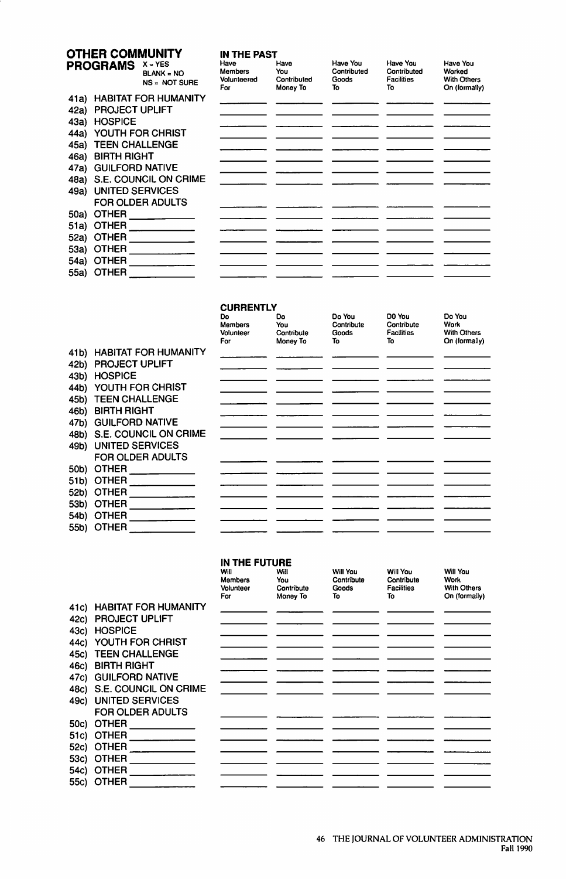# **OTHER COMMUNITY IN THE PAST**

|      | PROGRAMS               | $X = YES$<br><b>BLANK = NO</b><br>NS = NOT SURE | Have<br><b>Members</b><br>Volunteered<br>For | Have<br>You<br>Contributed<br>Money To | Have You<br>Contributed<br>Goods<br>Т٥ | Have You<br>Contributed<br><b>Facilities</b><br>То | Have You<br>Worked<br>With Others<br>On (formally) |
|------|------------------------|-------------------------------------------------|----------------------------------------------|----------------------------------------|----------------------------------------|----------------------------------------------------|----------------------------------------------------|
| 41a) |                        | <b>HABITAT FOR HUMANITY</b>                     |                                              |                                        |                                        |                                                    |                                                    |
| 42a) | <b>PROJECT UPLIFT</b>  |                                                 |                                              |                                        |                                        |                                                    |                                                    |
| 43a) | <b>HOSPICE</b>         |                                                 |                                              |                                        |                                        |                                                    |                                                    |
| 44a) |                        | YOUTH FOR CHRIST                                |                                              |                                        |                                        |                                                    |                                                    |
| 45a) | <b>TEEN CHALLENGE</b>  |                                                 |                                              |                                        |                                        |                                                    |                                                    |
| 46a) | <b>BIRTH RIGHT</b>     |                                                 |                                              |                                        |                                        |                                                    |                                                    |
| 47a) | <b>GUILFORD NATIVE</b> |                                                 |                                              |                                        |                                        |                                                    |                                                    |
| 48a) |                        | S.E. COUNCIL ON CRIME                           |                                              |                                        |                                        |                                                    |                                                    |
| 49a) | UNITED SERVICES        |                                                 |                                              |                                        |                                        |                                                    |                                                    |
|      |                        | <b>FOR OLDER ADULTS</b>                         |                                              |                                        |                                        |                                                    |                                                    |
| 50a) | <b>OTHER</b>           |                                                 |                                              |                                        |                                        |                                                    |                                                    |
| 51a) | <b>OTHER</b>           |                                                 |                                              |                                        |                                        |                                                    |                                                    |
| 52a) | <b>OTHER</b>           |                                                 |                                              |                                        |                                        |                                                    |                                                    |
| 53a) | <b>OTHER</b>           |                                                 |                                              |                                        |                                        |                                                    |                                                    |
| 54a) | <b>OTHER</b>           |                                                 |                                              |                                        |                                        |                                                    |                                                    |
| 55a) | <b>OTHER</b>           |                                                 |                                              |                                        |                                        |                                                    |                                                    |
|      |                        |                                                 |                                              |                                        |                                        |                                                    |                                                    |

#### **CURRENTLY**

|      |                            | Do<br><b>Members</b><br>Volunteer<br>For | Do<br>You<br>Contribute<br>Money To | Do You<br>Contribute<br>Goods<br>То | D0 You<br>Contribute<br><b>Facilities</b><br>To | Do You<br>Work<br><b>With Others</b><br>On (formally) |
|------|----------------------------|------------------------------------------|-------------------------------------|-------------------------------------|-------------------------------------------------|-------------------------------------------------------|
|      | 41b) HABITAT FOR HUMANITY  |                                          |                                     |                                     |                                                 |                                                       |
| 42b) | <b>PROJECT UPLIFT</b>      |                                          |                                     |                                     |                                                 |                                                       |
| 43b) | <b>HOSPICE</b>             |                                          |                                     |                                     |                                                 |                                                       |
| 44b) | YOUTH FOR CHRIST           |                                          |                                     |                                     |                                                 |                                                       |
| 45b) | <b>TEEN CHALLENGE</b>      |                                          |                                     |                                     |                                                 |                                                       |
| 46b) | <b>BIRTH RIGHT</b>         |                                          |                                     |                                     |                                                 |                                                       |
| 47b) | <b>GUILFORD NATIVE</b>     |                                          |                                     |                                     |                                                 |                                                       |
|      | 48b) S.E. COUNCIL ON CRIME |                                          |                                     |                                     |                                                 |                                                       |
| 49b) | UNITED SERVICES            |                                          |                                     |                                     |                                                 |                                                       |
|      | FOR OLDER ADULTS           |                                          |                                     |                                     |                                                 |                                                       |
| 50b) | <b>OTHER</b>               |                                          |                                     |                                     |                                                 |                                                       |
| 51b) | <b>OTHER</b>               |                                          |                                     |                                     |                                                 |                                                       |
| 52b) | <b>OTHER</b>               |                                          |                                     |                                     |                                                 |                                                       |
| 53b) | <b>OTHER</b>               |                                          |                                     |                                     |                                                 |                                                       |
| 54b) | <b>OTHER</b>               |                                          |                                     |                                     |                                                 |                                                       |
| 55b) | <b>OTHER</b>               |                                          |                                     |                                     |                                                 |                                                       |

#### **IN THE FUTURE**

|       |                             | Will<br>Members<br>Volunteer<br>For | Will<br>You<br>Contribute<br>Money To | Will You<br>Contribute<br>Goods<br>To | Will You<br>Contribute<br><b>Facilities</b><br>To | Will You<br>Work<br><b>With Others</b><br>On (formally) |
|-------|-----------------------------|-------------------------------------|---------------------------------------|---------------------------------------|---------------------------------------------------|---------------------------------------------------------|
| 41c)  | <b>HABITAT FOR HUMANITY</b> |                                     |                                       |                                       |                                                   |                                                         |
| 42c)  | PROJECT UPLIFT              |                                     |                                       |                                       |                                                   |                                                         |
| 43c)  | <b>HOSPICE</b>              |                                     |                                       |                                       |                                                   |                                                         |
| 44c)  | YOUTH FOR CHRIST            |                                     |                                       |                                       |                                                   |                                                         |
| 45c)  | <b>TEEN CHALLENGE</b>       |                                     |                                       |                                       |                                                   |                                                         |
| 46c)  | <b>BIRTH RIGHT</b>          |                                     |                                       |                                       |                                                   |                                                         |
| 47c)  | <b>GUILFORD NATIVE</b>      |                                     |                                       |                                       |                                                   |                                                         |
| 48c)  | S.E. COUNCIL ON CRIME       |                                     |                                       |                                       |                                                   |                                                         |
| 49c)  | <b>UNITED SERVICES</b>      |                                     |                                       |                                       |                                                   |                                                         |
|       | <b>FOR OLDER ADULTS</b>     |                                     |                                       |                                       |                                                   |                                                         |
| 50c)  | <b>OTHER</b>                |                                     |                                       |                                       |                                                   |                                                         |
| 51C)  | <b>OTHER</b>                |                                     |                                       |                                       |                                                   |                                                         |
| 52c). | <b>OTHER</b>                |                                     |                                       |                                       |                                                   |                                                         |
| 53c)  | <b>OTHER</b>                |                                     |                                       |                                       |                                                   |                                                         |
| 54c). | <b>OTHER</b>                |                                     |                                       |                                       |                                                   |                                                         |
| 55c). | <b>OTHER</b>                |                                     |                                       |                                       |                                                   |                                                         |